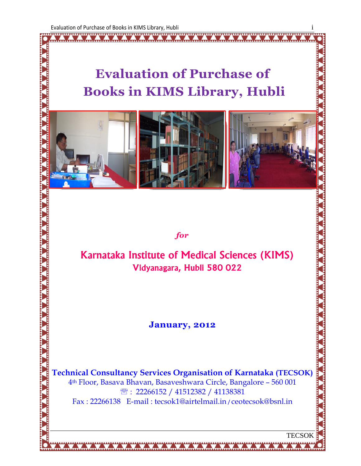Ž

# Evaluation of Purchase of Books in KIMS Library, Hubli



for

# Karnataka Institute of Medical Sciences (KIMS) Vidyanagara, Hubli 580 022

### January, 2012

Technical Consultancy Services Organisation of Karnataka (TECSOK) 4th Floor, Basava Bhavan, Basaveshwara Circle, Bangalore – 560 001 ℡ : 22266152 / 41512382 / 41138381 Fax : 22266138 E-mail : tecsok1@airtelmail.in / ceotecsok@bsnl.in

**TECSOK**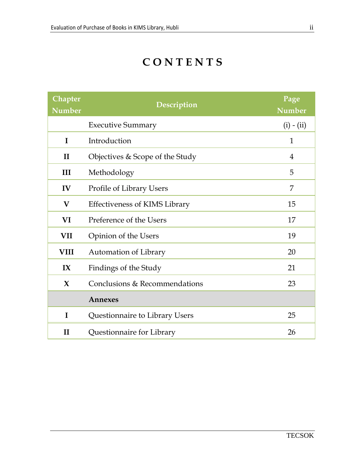# **CONTENTS**

| <b>Chapter</b><br><b>Number</b> | Description                          | Page<br><b>Number</b> |
|---------------------------------|--------------------------------------|-----------------------|
|                                 | <b>Executive Summary</b>             | $(i) - (ii)$          |
| $\mathbf{I}$                    | Introduction                         | $\mathbf{1}$          |
| $\mathbf{I}$                    | Objectives & Scope of the Study      | $\overline{4}$        |
| III                             | Methodology                          | 5                     |
| IV                              | Profile of Library Users             | 7                     |
| $\bf V$                         | <b>Effectiveness of KIMS Library</b> | 15                    |
| VI                              | Preference of the Users              | 17                    |
| <b>VII</b>                      | Opinion of the Users                 | 19                    |
| <b>VIII</b>                     | Automation of Library                | 20                    |
| IX                              | Findings of the Study                | 21                    |
| $\mathbf{X}$                    | Conclusions & Recommendations        | 23                    |
|                                 | Annexes                              |                       |
| $\mathbf I$                     | Questionnaire to Library Users       | 25                    |
| $\mathbf{I}$                    | Questionnaire for Library            | 26                    |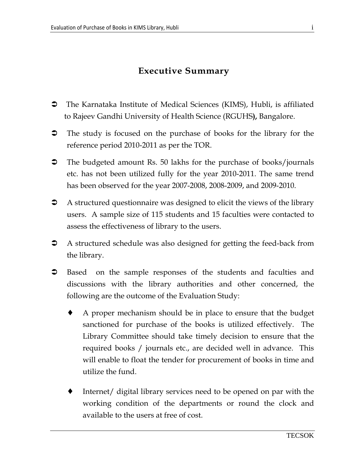# Executive Summary

- The Karnataka Institute of Medical Sciences (KIMS), Hubli, is affiliated to Rajeev Gandhi University of Health Science (RGUHS), Bangalore.
- The study is focused on the purchase of books for the library for the reference period 2010-2011 as per the TOR.
- **→** The budgeted amount Rs. 50 lakhs for the purchase of books/journals etc. has not been utilized fully for the year 2010-2011. The same trend has been observed for the year 2007-2008, 2008-2009, and 2009-2010.
- A structured questionnaire was designed to elicit the views of the library users. A sample size of 115 students and 15 faculties were contacted to assess the effectiveness of library to the users.
- A structured schedule was also designed for getting the feed-back from the library.
- **3** Based on the sample responses of the students and faculties and discussions with the library authorities and other concerned, the following are the outcome of the Evaluation Study:
	- ♦ A proper mechanism should be in place to ensure that the budget sanctioned for purchase of the books is utilized effectively. The Library Committee should take timely decision to ensure that the required books / journals etc., are decided well in advance. This will enable to float the tender for procurement of books in time and utilize the fund.
	- Internet/ digital library services need to be opened on par with the working condition of the departments or round the clock and available to the users at free of cost.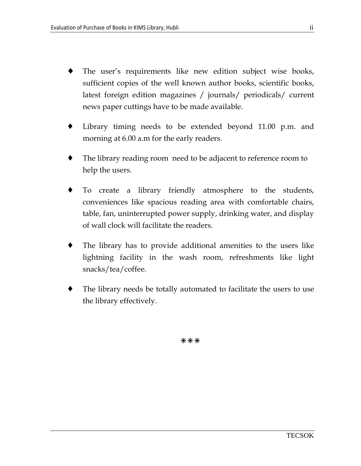- The user's requirements like new edition subject wise books, sufficient copies of the well known author books, scientific books, latest foreign edition magazines / journals/ periodicals/ current news paper cuttings have to be made available.
- Library timing needs to be extended beyond 11.00 p.m. and morning at 6.00 a.m for the early readers.
- The library reading room need to be adjacent to reference room to help the users.
- To create a library friendly atmosphere to the students, conveniences like spacious reading area with comfortable chairs, table, fan, uninterrupted power supply, drinking water, and display of wall clock will facilitate the readers.
- The library has to provide additional amenities to the users like lightning facility in the wash room, refreshments like light snacks/tea/coffee.
- The library needs be totally automated to facilitate the users to use the library effectively.

\*\*\*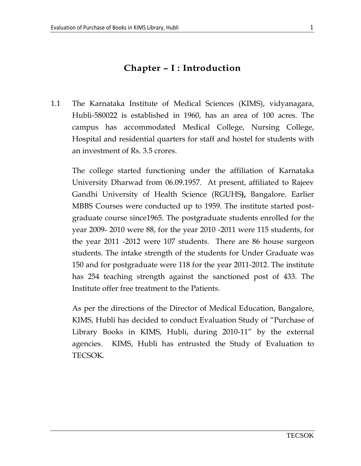## Chapter – I : Introduction

1.1 The Karnataka Institute of Medical Sciences (KIMS), vidyanagara, Hubli-580022 is established in 1960, has an area of 100 acres. The campus has accommodated Medical College, Nursing College, Hospital and residential quarters for staff and hostel for students with an investment of Rs. 3.5 crores.

The college started functioning under the affiliation of Karnataka University Dharwad from 06.09.1957. At present, affiliated to Rajeev Gandhi University of Health Science (RGUHS), Bangalore. Earlier MBBS Courses were conducted up to 1959. The institute started postgraduate course since1965. The postgraduate students enrolled for the year 2009- 2010 were 88, for the year 2010 -2011 were 115 students, for the year 2011 -2012 were 107 students. There are 86 house surgeon students. The intake strength of the students for Under Graduate was 150 and for postgraduate were 118 for the year 2011-2012. The institute has 254 teaching strength against the sanctioned post of 433. The Institute offer free treatment to the Patients.

As per the directions of the Director of Medical Education, Bangalore, KIMS, Hubli has decided to conduct Evaluation Study of "Purchase of Library Books in KIMS, Hubli, during 2010-11" by the external agencies. KIMS, Hubli has entrusted the Study of Evaluation to TECSOK.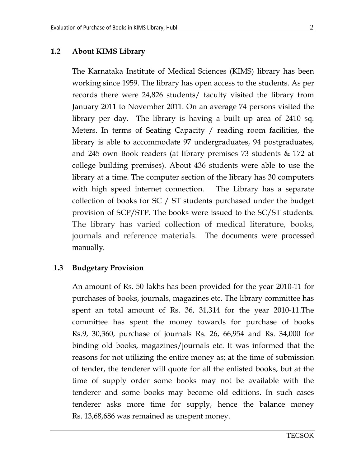#### 1.2 About KIMS Library

The Karnataka Institute of Medical Sciences (KIMS) library has been working since 1959. The library has open access to the students. As per records there were 24,826 students/ faculty visited the library from January 2011 to November 2011. On an average 74 persons visited the library per day. The library is having a built up area of 2410 sq. Meters. In terms of Seating Capacity / reading room facilities, the library is able to accommodate 97 undergraduates, 94 postgraduates, and 245 own Book readers (at library premises 73 students & 172 at college building premises). About 436 students were able to use the library at a time. The computer section of the library has 30 computers with high speed internet connection. The Library has a separate collection of books for SC / ST students purchased under the budget provision of SCP/STP. The books were issued to the SC/ST students. The library has varied collection of medical literature, books, journals and reference materials. The documents were processed manually.

#### 1.3 Budgetary Provision

An amount of Rs. 50 lakhs has been provided for the year 2010-11 for purchases of books, journals, magazines etc. The library committee has spent an total amount of Rs. 36, 31,314 for the year 2010-11.The committee has spent the money towards for purchase of books Rs.9, 30,360, purchase of journals Rs. 26, 66,954 and Rs. 34,000 for binding old books, magazines/journals etc. It was informed that the reasons for not utilizing the entire money as; at the time of submission of tender, the tenderer will quote for all the enlisted books, but at the time of supply order some books may not be available with the tenderer and some books may become old editions. In such cases tenderer asks more time for supply, hence the balance money Rs. 13,68,686 was remained as unspent money.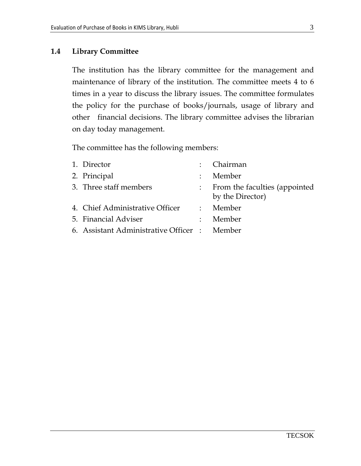#### 1.4 Library Committee

The institution has the library committee for the management and maintenance of library of the institution. The committee meets 4 to 6 times in a year to discuss the library issues. The committee formulates the policy for the purchase of books/journals, usage of library and other financial decisions. The library committee advises the librarian on day today management.

The committee has the following members:

| 1. Director                                  |                           | : Chairman                                        |
|----------------------------------------------|---------------------------|---------------------------------------------------|
| 2. Principal                                 | $\ddot{\cdot}$            | Member                                            |
| 3. Three staff members                       | $\mathbb{Z}^{\mathbb{Z}}$ | From the faculties (appointed<br>by the Director) |
| 4. Chief Administrative Officer : Member     |                           |                                                   |
| 5. Financial Adviser                         | $\mathbb{R}^n$            | Member                                            |
| 6. Assistant Administrative Officer : Member |                           |                                                   |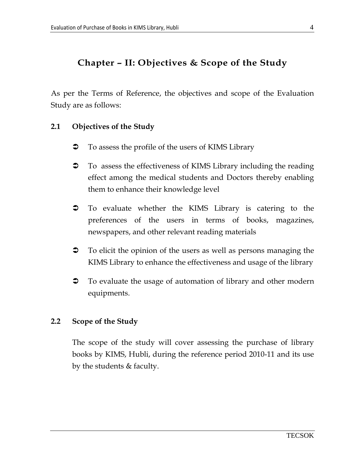## Chapter – II: Objectives & Scope of the Study

As per the Terms of Reference, the objectives and scope of the Evaluation Study are as follows:

### 2.1 Objectives of the Study

- $\bullet$  To assess the profile of the users of KIMS Library
- To assess the effectiveness of KIMS Library including the reading effect among the medical students and Doctors thereby enabling them to enhance their knowledge level
- To evaluate whether the KIMS Library is catering to the preferences of the users in terms of books, magazines, newspapers, and other relevant reading materials
- To elicit the opinion of the users as well as persons managing the KIMS Library to enhance the effectiveness and usage of the library
- To evaluate the usage of automation of library and other modern equipments.

### 2.2 Scope of the Study

The scope of the study will cover assessing the purchase of library books by KIMS, Hubli, during the reference period 2010-11 and its use by the students & faculty.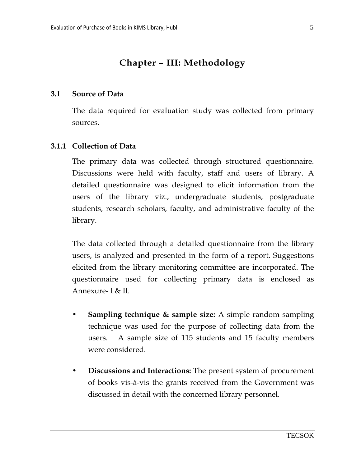# Chapter – III: Methodology

#### 3.1 Source of Data

The data required for evaluation study was collected from primary sources.

### 3.1.1 Collection of Data

 The primary data was collected through structured questionnaire. Discussions were held with faculty, staff and users of library. A detailed questionnaire was designed to elicit information from the users of the library viz., undergraduate students, postgraduate students, research scholars, faculty, and administrative faculty of the library.

The data collected through a detailed questionnaire from the library users, is analyzed and presented in the form of a report. Suggestions elicited from the library monitoring committee are incorporated. The questionnaire used for collecting primary data is enclosed as Annexure- I & II.

- Sampling technique & sample size: A simple random sampling technique was used for the purpose of collecting data from the users. A sample size of 115 students and 15 faculty members were considered.
- Discussions and Interactions: The present system of procurement of books vis-à-vis the grants received from the Government was discussed in detail with the concerned library personnel.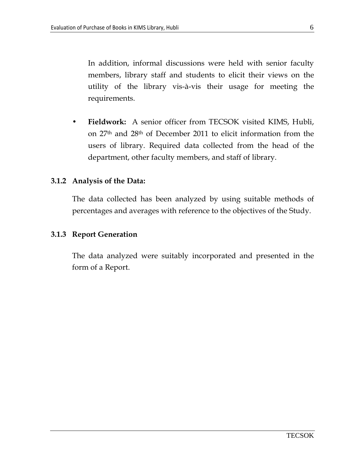In addition, informal discussions were held with senior faculty members, library staff and students to elicit their views on the utility of the library vis-à-vis their usage for meeting the requirements.

• Fieldwork: A senior officer from TECSOK visited KIMS, Hubli, on 27th and 28th of December 2011 to elicit information from the users of library. Required data collected from the head of the department, other faculty members, and staff of library.

#### 3.1.2 Analysis of the Data:

 The data collected has been analyzed by using suitable methods of percentages and averages with reference to the objectives of the Study.

#### 3.1.3 Report Generation

 The data analyzed were suitably incorporated and presented in the form of a Report.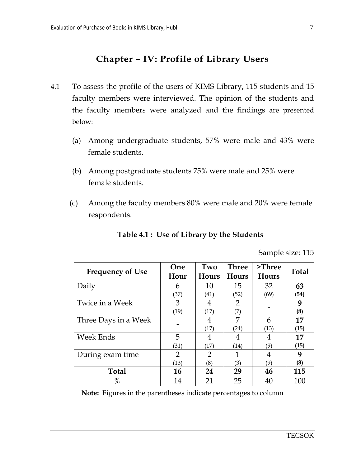## Chapter – IV: Profile of Library Users

- 4.1 To assess the profile of the users of KIMS Library, 115 students and 15 faculty members were interviewed. The opinion of the students and the faculty members were analyzed and the findings are presented below:
	- (a) Among undergraduate students, 57% were male and 43% were female students.
	- (b) Among postgraduate students 75% were male and 25% were female students.
	- (c) Among the faculty members 80% were male and 20% were female respondents.

|                         |                        |                     |                       |                    | Sample size: 115 |
|-------------------------|------------------------|---------------------|-----------------------|--------------------|------------------|
| <b>Frequency of Use</b> | One<br>Hour            | Two<br><b>Hours</b> | <b>Three</b><br>Hours | $>$ Three<br>Hours | <b>Total</b>     |
| Daily                   | 6<br>(37)              | 10<br>(41)          | 15<br>(52)            | 32<br>(69)         | 63<br>(54)       |
| Twice in a Week         | 3<br>(19)              | 4<br>(17)           | $\overline{2}$<br>(7) |                    | 9<br>(8)         |
| Three Days in a Week    |                        | 4<br>(17)           | 7<br>(24)             | 6<br>(13)          | 17<br>(15)       |
| Week Ends               | 5<br>(31)              | 4<br>(17)           | 4<br>(14)             | 4<br>(9)           | 17<br>(15)       |
| During exam time        | $\overline{2}$<br>(13) | 2<br>(8)            | 1<br>(3)              | 4<br>(9)           | 9<br>(8)         |
| <b>Total</b>            | 16                     | 24                  | 29                    | 46                 | 115              |
| $\%$                    | 14                     | 21                  | 25                    | 40                 | 100              |

### Table 4.1 : Use of Library by the Students

Note: Figures in the parentheses indicate percentages to column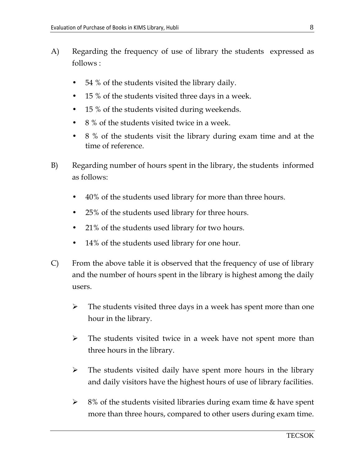- A) Regarding the frequency of use of library the students expressed as follows :
	- 54 % of the students visited the library daily.
	- 15 % of the students visited three days in a week.
	- 15 % of the students visited during weekends.
	- 8 % of the students visited twice in a week.
	- 8 % of the students visit the library during exam time and at the time of reference.
- B) Regarding number of hours spent in the library, the students informed as follows:
	- 40% of the students used library for more than three hours.
	- 25% of the students used library for three hours.
	- 21% of the students used library for two hours.
	- 14% of the students used library for one hour.
- C) From the above table it is observed that the frequency of use of library and the number of hours spent in the library is highest among the daily users.
	- $\blacktriangleright$  The students visited three days in a week has spent more than one hour in the library.
	- $\blacktriangleright$  The students visited twice in a week have not spent more than three hours in the library.
	- $\blacktriangleright$  The students visited daily have spent more hours in the library and daily visitors have the highest hours of use of library facilities.
	- $\blacktriangleright$  8% of the students visited libraries during exam time & have spent more than three hours, compared to other users during exam time.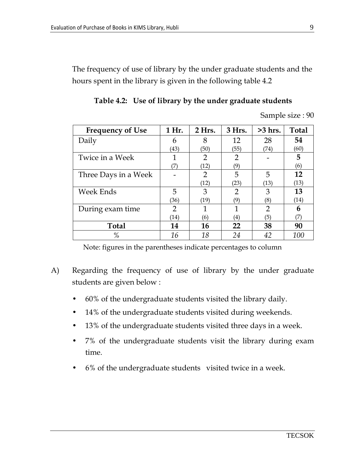The frequency of use of library by the under graduate students and the hours spent in the library is given in the following table 4.2

| <b>Frequency of Use</b> | 1 Hr. | 2 Hrs.         | 3 Hrs.         | $>3$ hrs.      | <b>Total</b> |
|-------------------------|-------|----------------|----------------|----------------|--------------|
| Daily                   | 6     | 8              | 12             | 28             | 54           |
|                         | (43)  | (50)           | (55)           | (74)           | (60)         |
| Twice in a Week         |       | 2              | $\overline{2}$ |                | 5            |
|                         | 7)    | (12)           | (9)            |                | (6)          |
| Three Days in a Week    |       | $\overline{2}$ | 5              | 5              | 12           |
|                         |       | (12)           | (23)           | (13)           | (13)         |
| Week Ends               | 5     | 3              | 2              | 3              | 13           |
|                         | (36)  | (19)           | (9)            | (8)            | (14)         |
| During exam time        | 2     | 1              | 1              | $\overline{2}$ | 6            |
|                         | (14)  | (6)            | (4)            | (5)            | (7)          |
| <b>Total</b>            | 14    | 16             | 22             | 38             | 90           |
| %                       | 16    | 18             | 24             | 42             | 100          |

Table 4.2: Use of library by the under graduate students

Sample size : 90

Note: figures in the parentheses indicate percentages to column

- A) Regarding the frequency of use of library by the under graduate students are given below :
	- 60% of the undergraduate students visited the library daily.
	- 14% of the undergraduate students visited during weekends.
	- 13% of the undergraduate students visited three days in a week.
	- 7% of the undergraduate students visit the library during exam time.
	- 6% of the undergraduate students visited twice in a week.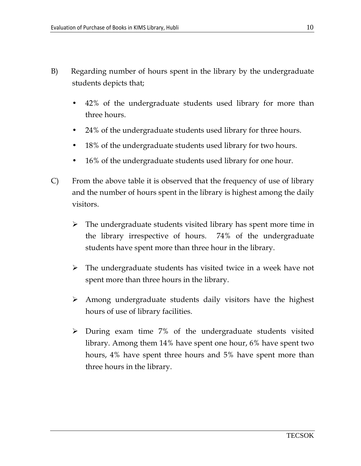- B) Regarding number of hours spent in the library by the undergraduate students depicts that;
	- 42% of the undergraduate students used library for more than three hours.
	- 24% of the undergraduate students used library for three hours.
	- 18% of the undergraduate students used library for two hours.
	- 16% of the undergraduate students used library for one hour.
- C) From the above table it is observed that the frequency of use of library and the number of hours spent in the library is highest among the daily visitors.
	- > The undergraduate students visited library has spent more time in the library irrespective of hours. 74% of the undergraduate students have spent more than three hour in the library.
	- > The undergraduate students has visited twice in a week have not spent more than three hours in the library.
	- > Among undergraduate students daily visitors have the highest hours of use of library facilities.
	- During exam time 7% of the undergraduate students visited library. Among them 14% have spent one hour, 6% have spent two hours, 4% have spent three hours and 5% have spent more than three hours in the library.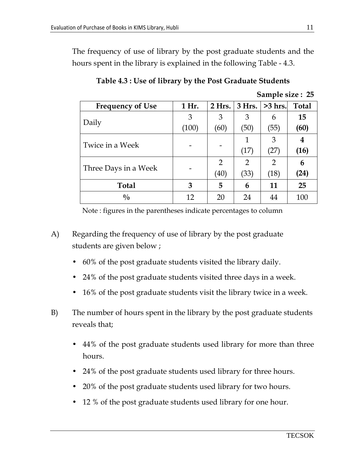The frequency of use of library by the post graduate students and the hours spent in the library is explained in the following Table - 4.3.

| <b>Frequency of Use</b> | 1 Hr. | 2 Hrs. | $3$ Hrs.                                                                                                                         | $>3$ hrs. | <b>Total</b> |
|-------------------------|-------|--------|----------------------------------------------------------------------------------------------------------------------------------|-----------|--------------|
|                         | 3     | 3      | 3                                                                                                                                | 6         | 15           |
| Daily                   | (100) | (60)   | (50)<br>(55)<br>3<br>1<br>(17)<br>$^{\prime}27)$<br>$\overline{2}$<br>2<br>2<br>(33)<br>(40)<br>(18)<br>5<br>6<br>11<br>24<br>20 | (60)      |              |
|                         |       |        |                                                                                                                                  |           | 4            |
| Twice in a Week         |       |        |                                                                                                                                  |           | (16)         |
|                         |       |        |                                                                                                                                  |           | 6            |
| Three Days in a Week    |       |        |                                                                                                                                  |           | (24)         |
| <b>Total</b>            | 3     |        |                                                                                                                                  |           | 25           |
| $\frac{0}{0}$           | 12    |        |                                                                                                                                  |           | 100          |

Table 4.3 : Use of library by the Post Graduate Students

|  | Sample size: 25 |  |
|--|-----------------|--|
|  |                 |  |

Note : figures in the parentheses indicate percentages to column

- A) Regarding the frequency of use of library by the post graduate students are given below ;
	- 60% of the post graduate students visited the library daily.
	- 24% of the post graduate students visited three days in a week.
	- 16% of the post graduate students visit the library twice in a week.
- B) The number of hours spent in the library by the post graduate students reveals that;
	- 44% of the post graduate students used library for more than three hours.
	- 24% of the post graduate students used library for three hours.
	- 20% of the post graduate students used library for two hours.
	- 12 % of the post graduate students used library for one hour.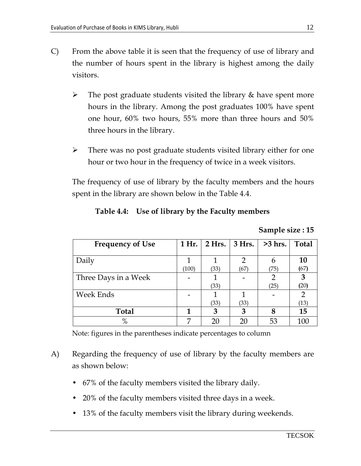- C) From the above table it is seen that the frequency of use of library and the number of hours spent in the library is highest among the daily visitors.
	- $\blacktriangleright$  The post graduate students visited the library & have spent more hours in the library. Among the post graduates 100% have spent one hour, 60% two hours, 55% more than three hours and 50% three hours in the library.
	- $\blacktriangleright$  There was no post graduate students visited library either for one hour or two hour in the frequency of twice in a week visitors.

The frequency of use of library by the faculty members and the hours spent in the library are shown below in the Table 4.4.

### Table 4.4: Use of library by the Faculty members

Sample size : 15

| <b>Frequency of Use</b> | 1 Hr. | $2$ Hrs. | $3$ Hrs. | $>3$ hrs. | <b>Total</b> |
|-------------------------|-------|----------|----------|-----------|--------------|
|                         |       |          |          |           |              |
| Daily                   |       |          |          |           | <b>10</b>    |
|                         | (100) | (33)     | (67)     | (75)      | (67)         |
| Three Days in a Week    |       |          |          | 2         | 3            |
|                         |       | (33)     |          | (25)      | (20)         |
| Week Ends               |       |          |          |           |              |
|                         |       | (33)     | (33)     |           | (13)         |
| <b>Total</b>            |       | 3        | 3        |           | 15           |
| $\%$                    |       | 20       | 20       | 53        | 100          |

Note: figures in the parentheses indicate percentages to column

- A) Regarding the frequency of use of library by the faculty members are as shown below:
	- 67% of the faculty members visited the library daily.
	- 20% of the faculty members visited three days in a week.
	- 13% of the faculty members visit the library during weekends.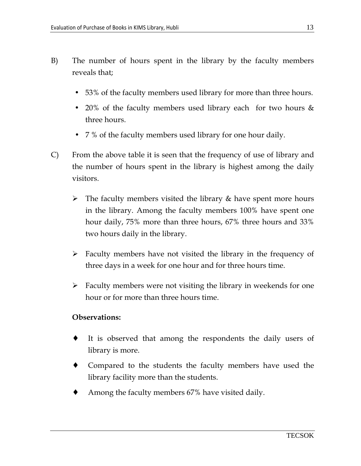- B) The number of hours spent in the library by the faculty members reveals that;
	- 53% of the faculty members used library for more than three hours.
	- 20% of the faculty members used library each for two hours & three hours.
	- 7 % of the faculty members used library for one hour daily.
- C) From the above table it is seen that the frequency of use of library and the number of hours spent in the library is highest among the daily visitors.
	- > The faculty members visited the library & have spent more hours in the library. Among the faculty members 100% have spent one hour daily, 75% more than three hours, 67% three hours and 33% two hours daily in the library.
	- > Faculty members have not visited the library in the frequency of three days in a week for one hour and for three hours time.
	- > Faculty members were not visiting the library in weekends for one hour or for more than three hours time.

### Observations:

- ♦ It is observed that among the respondents the daily users of library is more.
- ♦ Compared to the students the faculty members have used the library facility more than the students.
- Among the faculty members 67% have visited daily.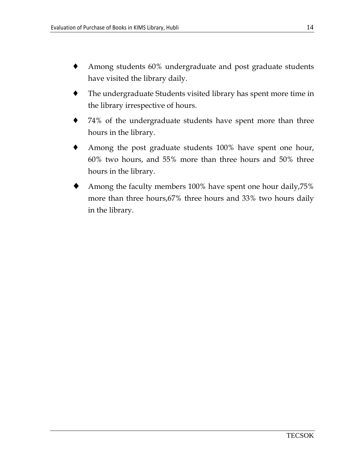- Among students 60% undergraduate and post graduate students have visited the library daily.
- The undergraduate Students visited library has spent more time in the library irrespective of hours.
- ♦ 74% of the undergraduate students have spent more than three hours in the library.
- Among the post graduate students 100% have spent one hour, 60% two hours, and 55% more than three hours and 50% three hours in the library.
- Among the faculty members 100% have spent one hour daily, 75% more than three hours,67% three hours and 33% two hours daily in the library.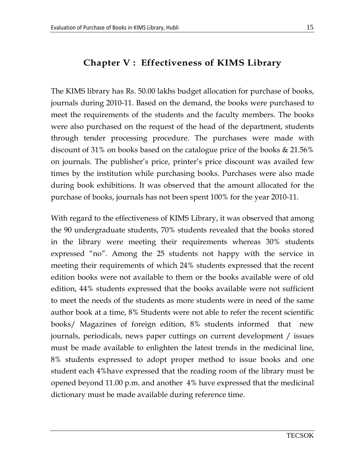# Chapter V : Effectiveness of KIMS Library

The KIMS library has Rs. 50.00 lakhs budget allocation for purchase of books, journals during 2010-11. Based on the demand, the books were purchased to meet the requirements of the students and the faculty members. The books were also purchased on the request of the head of the department, students through tender processing procedure. The purchases were made with discount of 31% on books based on the catalogue price of the books & 21.56% on journals. The publisher's price, printer's price discount was availed few times by the institution while purchasing books. Purchases were also made during book exhibitions. It was observed that the amount allocated for the purchase of books, journals has not been spent 100% for the year 2010-11.

With regard to the effectiveness of KIMS Library, it was observed that among the 90 undergraduate students, 70% students revealed that the books stored in the library were meeting their requirements whereas 30% students expressed "no". Among the 25 students not happy with the service in meeting their requirements of which 24% students expressed that the recent edition books were not available to them or the books available were of old edition, 44% students expressed that the books available were not sufficient to meet the needs of the students as more students were in need of the same author book at a time, 8% Students were not able to refer the recent scientific books/ Magazines of foreign edition, 8% students informed that new journals, periodicals, news paper cuttings on current development / issues must be made available to enlighten the latest trends in the medicinal line, 8% students expressed to adopt proper method to issue books and one student each 4%have expressed that the reading room of the library must be opened beyond 11.00 p.m. and another 4% have expressed that the medicinal dictionary must be made available during reference time.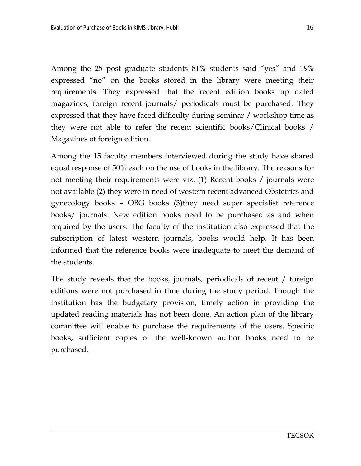Among the 25 post graduate students 81% students said "yes" and 19% expressed "no" on the books stored in the library were meeting their requirements. They expressed that the recent edition books up dated magazines, foreign recent journals/ periodicals must be purchased. They expressed that they have faced difficulty during seminar / workshop time as they were not able to refer the recent scientific books/Clinical books / Magazines of foreign edition.

Among the 15 faculty members interviewed during the study have shared equal response of 50% each on the use of books in the library. The reasons for not meeting their requirements were viz. (1) Recent books / journals were not available (2) they were in need of western recent advanced Obstetrics and gynecology books – OBG books (3)they need super specialist reference books/ journals. New edition books need to be purchased as and when required by the users. The faculty of the institution also expressed that the subscription of latest western journals, books would help. It has been informed that the reference books were inadequate to meet the demand of the students.

The study reveals that the books, journals, periodicals of recent / foreign editions were not purchased in time during the study period. Though the institution has the budgetary provision, timely action in providing the updated reading materials has not been done. An action plan of the library committee will enable to purchase the requirements of the users. Specific books, sufficient copies of the well-known author books need to be purchased.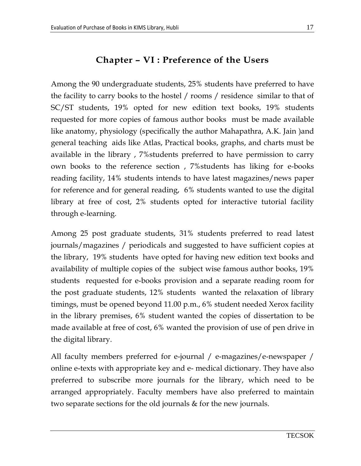### Chapter – VI : Preference of the Users

Among the 90 undergraduate students, 25% students have preferred to have the facility to carry books to the hostel / rooms / residence similar to that of SC/ST students, 19% opted for new edition text books, 19% students requested for more copies of famous author books must be made available like anatomy, physiology (specifically the author Mahapathra, A.K. Jain )and general teaching aids like Atlas, Practical books, graphs, and charts must be available in the library , 7%students preferred to have permission to carry own books to the reference section , 7%students has liking for e-books reading facility, 14% students intends to have latest magazines/news paper for reference and for general reading, 6% students wanted to use the digital library at free of cost, 2% students opted for interactive tutorial facility through e-learning.

Among 25 post graduate students, 31% students preferred to read latest journals/magazines / periodicals and suggested to have sufficient copies at the library, 19% students have opted for having new edition text books and availability of multiple copies of the subject wise famous author books, 19% students requested for e-books provision and a separate reading room for the post graduate students, 12% students wanted the relaxation of library timings, must be opened beyond 11.00 p.m., 6% student needed Xerox facility in the library premises, 6% student wanted the copies of dissertation to be made available at free of cost, 6% wanted the provision of use of pen drive in the digital library.

All faculty members preferred for e-journal / e-magazines/e-newspaper / online e-texts with appropriate key and e- medical dictionary. They have also preferred to subscribe more journals for the library, which need to be arranged appropriately. Faculty members have also preferred to maintain two separate sections for the old journals & for the new journals.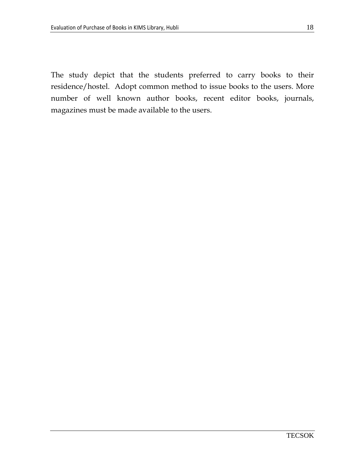The study depict that the students preferred to carry books to their residence/hostel. Adopt common method to issue books to the users. More number of well known author books, recent editor books, journals, magazines must be made available to the users.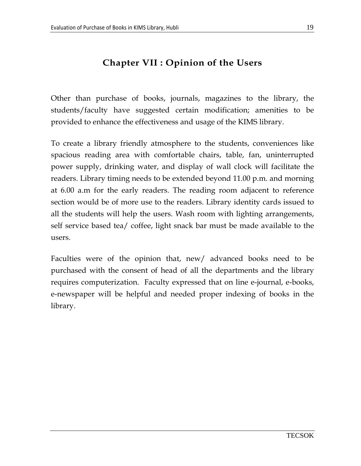# Chapter VII : Opinion of the Users

Other than purchase of books, journals, magazines to the library, the students/faculty have suggested certain modification; amenities to be provided to enhance the effectiveness and usage of the KIMS library.

To create a library friendly atmosphere to the students, conveniences like spacious reading area with comfortable chairs, table, fan, uninterrupted power supply, drinking water, and display of wall clock will facilitate the readers. Library timing needs to be extended beyond 11.00 p.m. and morning at 6.00 a.m for the early readers. The reading room adjacent to reference section would be of more use to the readers. Library identity cards issued to all the students will help the users. Wash room with lighting arrangements, self service based tea/ coffee, light snack bar must be made available to the users.

Faculties were of the opinion that, new/ advanced books need to be purchased with the consent of head of all the departments and the library requires computerization. Faculty expressed that on line e-journal, e-books, e-newspaper will be helpful and needed proper indexing of books in the library.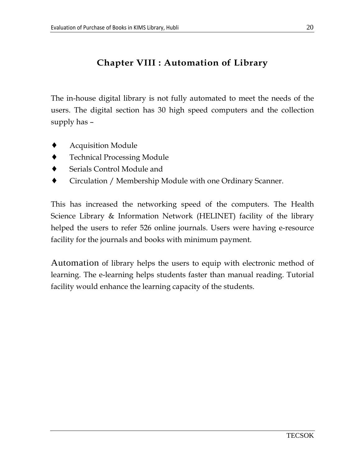### Chapter VIII : Automation of Library

The in-house digital library is not fully automated to meet the needs of the users. The digital section has 30 high speed computers and the collection supply has –

- ♦ Acquisition Module
- **Technical Processing Module**
- Serials Control Module and
- Circulation / Membership Module with one Ordinary Scanner.

This has increased the networking speed of the computers. The Health Science Library & Information Network (HELINET) facility of the library helped the users to refer 526 online journals. Users were having e-resource facility for the journals and books with minimum payment.

Automation of library helps the users to equip with electronic method of learning. The e-learning helps students faster than manual reading. Tutorial facility would enhance the learning capacity of the students.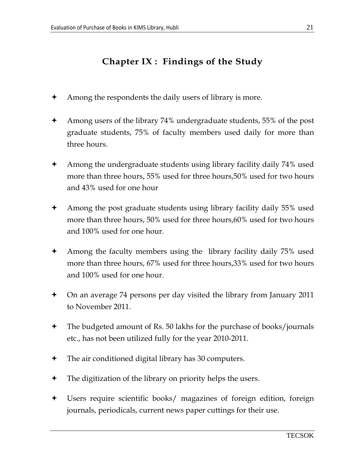# Chapter IX : Findings of the Study

- Among the respondents the daily users of library is more.
- Among users of the library 74% undergraduate students, 55% of the post graduate students, 75% of faculty members used daily for more than three hours.
- $\triangle$  Among the undergraduate students using library facility daily 74% used more than three hours, 55% used for three hours,50% used for two hours and 43% used for one hour
- Among the post graduate students using library facility daily 55% used more than three hours, 50% used for three hours,60% used for two hours and 100% used for one hour.
- $\triangle$  Among the faculty members using the library facility daily 75% used more than three hours, 67% used for three hours,33% used for two hours and 100% used for one hour.
- On an average 74 persons per day visited the library from January 2011 to November 2011.
- The budgeted amount of Rs. 50 lakhs for the purchase of books/journals etc., has not been utilized fully for the year 2010-2011.
- The air conditioned digital library has 30 computers.
- The digitization of the library on priority helps the users.
- Users require scientific books/ magazines of foreign edition, foreign journals, periodicals, current news paper cuttings for their use.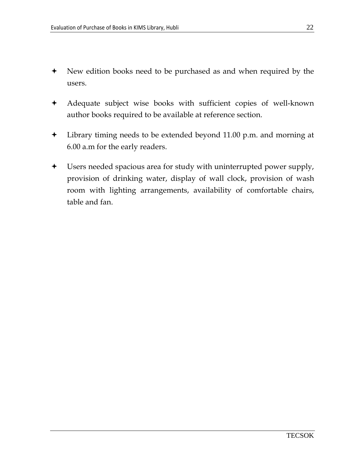- New edition books need to be purchased as and when required by the users.
- Adequate subject wise books with sufficient copies of well-known author books required to be available at reference section.
- Library timing needs to be extended beyond 11.00 p.m. and morning at 6.00 a.m for the early readers.
- Users needed spacious area for study with uninterrupted power supply, provision of drinking water, display of wall clock, provision of wash room with lighting arrangements, availability of comfortable chairs, table and fan.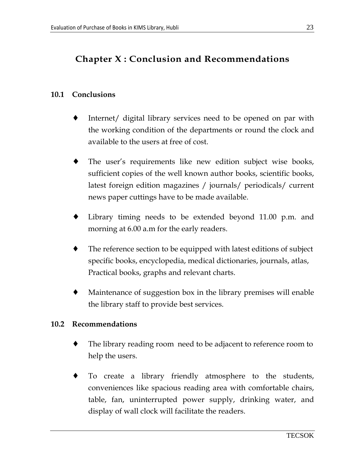# Chapter X : Conclusion and Recommendations

### 10.1 Conclusions

- Internet/ digital library services need to be opened on par with the working condition of the departments or round the clock and available to the users at free of cost.
- The user's requirements like new edition subject wise books, sufficient copies of the well known author books, scientific books, latest foreign edition magazines / journals/ periodicals/ current news paper cuttings have to be made available.
- ♦ Library timing needs to be extended beyond 11.00 p.m. and morning at 6.00 a.m for the early readers.
- The reference section to be equipped with latest editions of subject specific books, encyclopedia, medical dictionaries, journals, atlas, Practical books, graphs and relevant charts.
- Maintenance of suggestion box in the library premises will enable the library staff to provide best services.

### 10.2 Recommendations

- The library reading room need to be adjacent to reference room to help the users.
- ♦ To create a library friendly atmosphere to the students, conveniences like spacious reading area with comfortable chairs, table, fan, uninterrupted power supply, drinking water, and display of wall clock will facilitate the readers.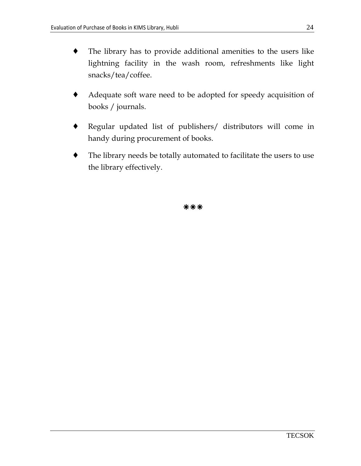- ♦ The library has to provide additional amenities to the users like lightning facility in the wash room, refreshments like light snacks/tea/coffee.
- Adequate soft ware need to be adopted for speedy acquisition of books / journals.
- ♦ Regular updated list of publishers/ distributors will come in handy during procurement of books.
- The library needs be totally automated to facilitate the users to use the library effectively.

\*\*\*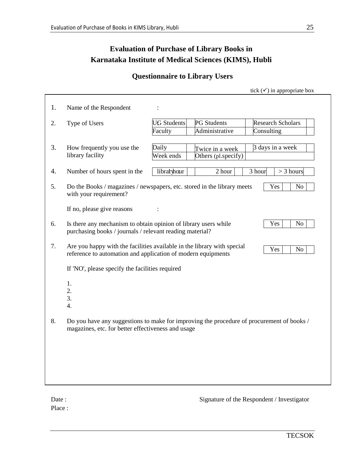### **Evaluation of Purchase of Library Books in Karnataka Institute of Medical Sciences (KIMS), Hubli**

### **Questionnaire to Library Users**

|    |                                                                                                                                                                  |                    |                     | tick $(\checkmark)$ in appropriate box |  |  |  |  |
|----|------------------------------------------------------------------------------------------------------------------------------------------------------------------|--------------------|---------------------|----------------------------------------|--|--|--|--|
| 1. | Name of the Respondent                                                                                                                                           | $\ddot{\cdot}$     |                     |                                        |  |  |  |  |
| 2. | Type of Users                                                                                                                                                    | <b>UG Students</b> | <b>PG</b> Students  | <b>Research Scholars</b>               |  |  |  |  |
|    |                                                                                                                                                                  | Faculty            | Administrative      | Consulting                             |  |  |  |  |
|    |                                                                                                                                                                  |                    |                     |                                        |  |  |  |  |
| 3. | How frequently you use the                                                                                                                                       | Daily              | Twice in a week     | 3 days in a week                       |  |  |  |  |
|    | library facility                                                                                                                                                 | Week ends          | Others (pl.specify) |                                        |  |  |  |  |
| 4. | Number of hours spent in the                                                                                                                                     | libraryhour        | 2 hour              | 3 hour<br>$>$ 3 hours                  |  |  |  |  |
| 5. | Do the Books / magazines / newspapers, etc. stored in the library meets<br>with your requirement?                                                                |                    |                     | Yes<br>N <sub>0</sub>                  |  |  |  |  |
|    | If no, please give reasons                                                                                                                                       |                    |                     |                                        |  |  |  |  |
| 6. | Is there any mechanism to obtain opinion of library users while<br>purchasing books / journals / relevant reading material?                                      |                    |                     | Yes<br>N <sub>o</sub>                  |  |  |  |  |
| 7. | Are you happy with the facilities available in the library with special<br>Yes<br>N <sub>o</sub><br>reference to automation and application of modern equipments |                    |                     |                                        |  |  |  |  |
|    | If 'NO', please specify the facilities required                                                                                                                  |                    |                     |                                        |  |  |  |  |
|    | 1.                                                                                                                                                               |                    |                     |                                        |  |  |  |  |
|    | 2.                                                                                                                                                               |                    |                     |                                        |  |  |  |  |
|    | 3.                                                                                                                                                               |                    |                     |                                        |  |  |  |  |
|    | $\overline{4}$ .                                                                                                                                                 |                    |                     |                                        |  |  |  |  |
| 8. | Do you have any suggestions to make for improving the procedure of procurement of books /<br>magazines, etc. for better effectiveness and usage                  |                    |                     |                                        |  |  |  |  |
|    |                                                                                                                                                                  |                    |                     |                                        |  |  |  |  |
|    |                                                                                                                                                                  |                    |                     |                                        |  |  |  |  |
|    |                                                                                                                                                                  |                    |                     |                                        |  |  |  |  |
|    |                                                                                                                                                                  |                    |                     |                                        |  |  |  |  |
|    |                                                                                                                                                                  |                    |                     |                                        |  |  |  |  |
|    |                                                                                                                                                                  |                    |                     |                                        |  |  |  |  |

Place :

Date : Signature of the Respondent / Investigator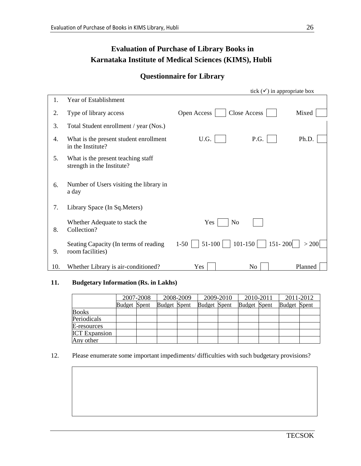### **Evaluation of Purchase of Library Books in Karnataka Institute of Medical Sciences (KIMS), Hubli**

### **Questionnaire for Library**

|     |                                                                  |                       | tick $(\checkmark)$ in appropriate box |         |
|-----|------------------------------------------------------------------|-----------------------|----------------------------------------|---------|
| 1.  | Year of Establishment                                            |                       |                                        |         |
| 2.  | Type of library access                                           | Open Access           | Close Access                           | Mixed   |
| 3.  | Total Student enrollment / year (Nos.)                           |                       |                                        |         |
| 4.  | What is the present student enrollment<br>in the Institute?      | U.G.                  | P.G.                                   | Ph.D.   |
| 5.  | What is the present teaching staff<br>strength in the Institute? |                       |                                        |         |
| 6.  | Number of Users visiting the library in<br>a day                 |                       |                                        |         |
| 7.  | Library Space (In Sq. Meters)                                    |                       |                                        |         |
| 8.  | Whether Adequate to stack the<br>Collection?                     | Yes<br>N <sub>o</sub> |                                        |         |
| 9.  | Seating Capacity (In terms of reading<br>room facilities)        | $1 - 50$<br>51-100    | $101 - 150$<br>$151 - 200$             | > 200   |
| 10. | Whether Library is air-conditioned?                              | Yes                   | N <sub>o</sub>                         | Planned |

#### **11. Budgetary Information (Rs. in Lakhs)**

|                      | 2007-2008           |  | 2008-2009           |  | 2009-2010           |  | 2010-2011           |  | 2011-2012           |  |
|----------------------|---------------------|--|---------------------|--|---------------------|--|---------------------|--|---------------------|--|
|                      | <b>Budget</b> Spent |  | <b>Budget</b> Spent |  | <b>Budget</b> Spent |  | <b>Budget</b> Spent |  | <b>Budget</b> Spent |  |
| <b>Books</b>         |                     |  |                     |  |                     |  |                     |  |                     |  |
| Periodicals          |                     |  |                     |  |                     |  |                     |  |                     |  |
| E-resources          |                     |  |                     |  |                     |  |                     |  |                     |  |
| <b>ICT</b> Expansion |                     |  |                     |  |                     |  |                     |  |                     |  |
| Any other            |                     |  |                     |  |                     |  |                     |  |                     |  |

#### 12. Please enumerate some important impediments/ difficulties with such budgetary provisions?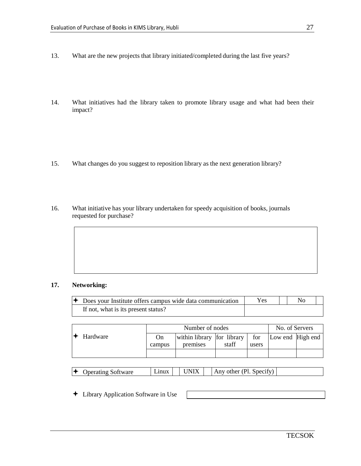- 13. What are the new projects that library initiated/completed during the last five years?
- 14. What initiatives had the library taken to promote library usage and what had been their impact?
- 15. What changes do you suggest to reposition library as the next generation library?
- 16. What initiative has your library undertaken for speedy acquisition of books, journals requested for purchase?

#### **17. Networking:**

| $\triangle$ Does your Institute offers campus wide data communication | Yes. |  |  |
|-----------------------------------------------------------------------|------|--|--|
| If not, what is its present status?                                   |      |  |  |

|          |        | Number of nodes            | No. of Servers |       |                  |  |
|----------|--------|----------------------------|----------------|-------|------------------|--|
| Hardware | On.    | within library for library |                | for   | Low end High end |  |
|          | campus | premises                   | staff          | users |                  |  |
|          |        |                            |                |       |                  |  |

| K<br>Operating Software | Lınux |  | ' 'NIX |  | Any other (Pl.<br>. Specity |  |
|-------------------------|-------|--|--------|--|-----------------------------|--|
|-------------------------|-------|--|--------|--|-----------------------------|--|

Library Application Software in Use